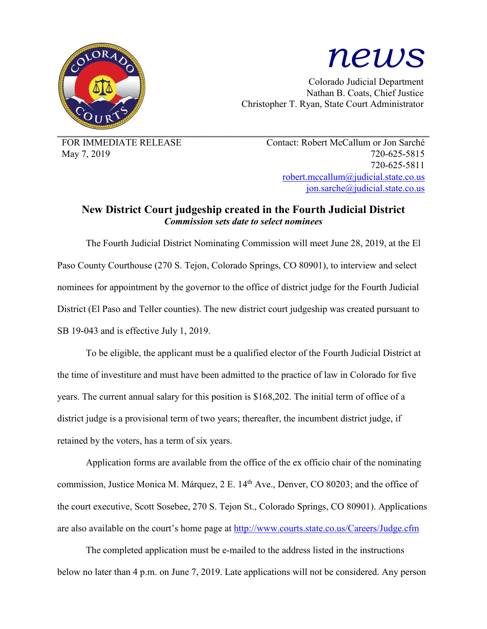

# *news*

Colorado Judicial Department Nathan B. Coats, Chief Justice Christopher T. Ryan, State Court Administrator

FOR IMMEDIATE RELEASE Contact: Robert McCallum or Jon Sarché May 7, 2019 720-625-5815 720-625-5811 robert.mccallum@judicial.state.co.us jon.sarche@judicial.state.co.us

# **New District Court judgeship created in the Fourth Judicial District** *Commission sets date to select nominees*

The Fourth Judicial District Nominating Commission will meet June 28, 2019, at the El Paso County Courthouse (270 S. Tejon, Colorado Springs, CO 80901), to interview and select nominees for appointment by the governor to the office of district judge for the Fourth Judicial District (El Paso and Teller counties). The new district court judgeship was created pursuant to SB 19-043 and is effective July 1, 2019.

To be eligible, the applicant must be a qualified elector of the Fourth Judicial District at the time of investiture and must have been admitted to the practice of law in Colorado for five years. The current annual salary for this position is \$168,202. The initial term of office of a district judge is a provisional term of two years; thereafter, the incumbent district judge, if retained by the voters, has a term of six years.

Application forms are available from the office of the ex officio chair of the nominating commission, Justice Monica M. Márquez, 2 E. 14<sup>th</sup> Ave., Denver, CO 80203; and the office of the court executive, Scott Sosebee, 270 S. Tejon St., Colorado Springs, CO 80901). Applications are also available on the court's home page at http://www.courts.state.co.us/Careers/Judge.cfm

The completed application must be e-mailed to the address listed in the instructions below no later than 4 p.m. on June 7, 2019. Late applications will not be considered. Any person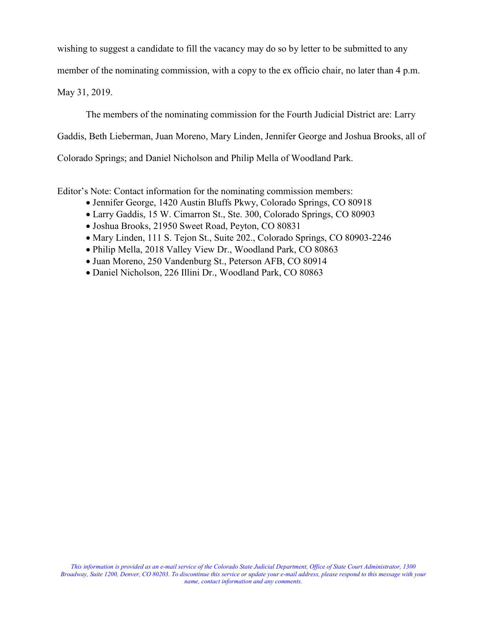wishing to suggest a candidate to fill the vacancy may do so by letter to be submitted to any

member of the nominating commission, with a copy to the ex officio chair, no later than 4 p.m.

May 31, 2019.

The members of the nominating commission for the Fourth Judicial District are: Larry

Gaddis, Beth Lieberman, Juan Moreno, Mary Linden, Jennifer George and Joshua Brooks, all of

Colorado Springs; and Daniel Nicholson and Philip Mella of Woodland Park.

Editor's Note: Contact information for the nominating commission members:

- Jennifer George, 1420 Austin Bluffs Pkwy, Colorado Springs, CO 80918
- Larry Gaddis, 15 W. Cimarron St., Ste. 300, Colorado Springs, CO 80903
- Joshua Brooks, 21950 Sweet Road, Peyton, CO 80831
- Mary Linden, 111 S. Tejon St., Suite 202., Colorado Springs, CO 80903-2246
- Philip Mella, 2018 Valley View Dr., Woodland Park, CO 80863
- Juan Moreno, 250 Vandenburg St., Peterson AFB, CO 80914
- Daniel Nicholson, 226 Illini Dr., Woodland Park, CO 80863